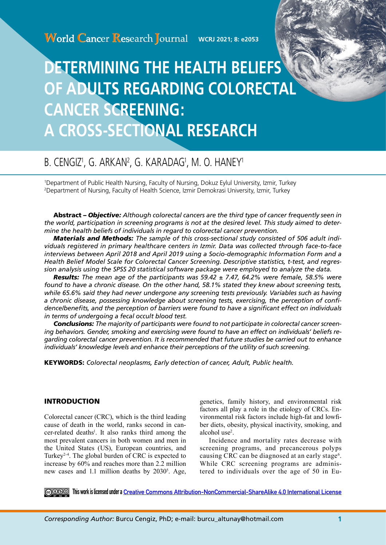# **DETERMINING THE HEALTH BELIEFS OF ADULTS REGARDING COLORECTAL CANCER SCREENING: A CROSS-SECTIONAL RESEARCH**

# B. CENGIZ', G. ARKANʻ, G. KARADAG', M. O. HANEY'

1 Department of Public Health Nursing, Faculty of Nursing, Dokuz Eylul University, Izmir, Turkey 2 Department of Nursing, Faculty of Health Science, Izmir Demokrasi University, Izmir, Turkey

Abstract *– Objective: Although colorectal cancers are the third type of cancer frequently seen in the world, participation in screening programs is not at the desired level. This study aimed to determine the health beliefs of individuals in regard to colorectal cancer prevention.* 

*Materials and Methods: The sample of this cross-sectional study consisted of 506 adult individuals registered in primary healthcare centers in Izmir. Data was collected through face-to-face interviews between April 2018 and April 2019 using a Socio-demographic Information Form and a Health Belief Model Scale for Colorectal Cancer Screening. Descriptive statistics, t-test, and regression analysis using the SPSS 20 statistical software package were employed to analyze the data.* 

*Results: The mean age of the participants was 59.42 ± 7.47, 64.2% were female, 58.5% were found to have a chronic disease. On the other hand, 58.1% stated they knew about screening tests, while 65.6% said they had never undergone any screening tests previously. Variables such as having a chronic disease, possessing knowledge about screening tests, exercising, the perception of confidence/benefits, and the perception of barriers were found to have a significant effect on individuals in terms of undergoing a fecal occult blood test.* 

*Conclusions: The majority of participants were found to not participate in colorectal cancer screening behaviors. Gender, smoking and exercising were found to have an effect on individuals' beliefs regarding colorectal cancer prevention. It is recommended that future studies be carried out to enhance individuals' knowledge levels and enhance their perceptions of the utility of such screening.* 

KEYWORDS: *Colorectal neoplasms, Early detection of cancer, Adult, Public health.*

## INTRODUCTION

Colorectal cancer (CRC), which is the third leading cause of death in the world, ranks second in cancer-related deaths<sup>1</sup>. It also ranks third among the most prevalent cancers in both women and men in the United States (US), European countries, and Turkey<sup>2-4</sup>. The global burden of CRC is expected to increase by 60% and reaches more than 2.2 million new cases and 1.1 million deaths by  $2030^5$ . Age, genetics, family history, and environmental risk factors all play a role in the etiology of CRCs. Environmental risk factors include high-fat and lowfiber diets, obesity, physical inactivity, smoking, and alcohol use<sup>2</sup>.

Incidence and mortality rates decrease with screening programs, and precancerous polyps causing CRC can be diagnosed at an early stage<sup>6</sup>. While CRC screening programs are administered to individuals over the age of 50 in Eu-

**This work is licensed under a [Creative Commons Attribution-NonCommercial-ShareAlike 4.0 International License](https://creativecommons.org/licenses/by-nc-sa/4.0/)**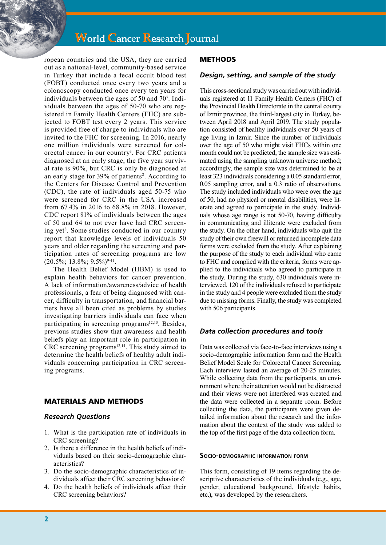# **World Cancer Research Journal**

ropean countries and the USA, they are carried out as a national-level, community-based service in Turkey that include a fecal occult blood test (FOBT) conducted once every two years and a colonoscopy conducted once every ten years for individuals between the ages of 50 and 70<sup>7</sup>. Individuals between the ages of 50-70 who are registered in Family Health Centers (FHC) are subjected to FOBT test every 2 years. This service is provided free of charge to individuals who are invited to the FHC for screening. In 2016, nearly one million individuals were screened for colorectal cancer in our country<sup>3</sup>. For CRC patients diagnosed at an early stage, the five year survival rate is 90%, but CRC is only be diagnosed at an early stage for 39% of patients<sup>2</sup>. According to the Centers for Disease Control and Prevention (CDC), the rate of individuals aged 50-75 who were screened for CRC in the USA increased from 67.4% in 2016 to 68.8% in 2018. However, CDC report 81% of individuals between the ages of 50 and 64 to not ever have had CRC screening yet<sup>8</sup>. Some studies conducted in our country report that knowledge levels of individuals 50 years and older regarding the screening and participation rates of screening programs are low  $(20.5\%; 13.8\%; 9.5\%)$ <sup>9-11</sup>.

The Health Belief Model (HBM) is used to explain health behaviors for cancer prevention. A lack of information/awareness/advice of health professionals, a fear of being diagnosed with cancer, difficulty in transportation, and financial barriers have all been cited as problems by studies investigating barriers individuals can face when participating in screening programs<sup>12,13</sup>. Besides, previous studies show that awareness and health beliefs play an important role in participation in CRC screening programs $12,14$ . This study aimed to determine the health beliefs of healthy adult individuals concerning participation in CRC screening programs.

### MATERIALS AND METHODS

#### *Research Questions*

- 1. What is the participation rate of individuals in CRC screening?
- 2. Is there a difference in the health beliefs of individuals based on their socio-demographic characteristics?
- 3. Do the socio-demographic characteristics of individuals affect their CRC screening behaviors?
- 4. Do the health beliefs of individuals affect their CRC screening behaviors?

## METHODS

#### *Design, setting, and sample of the study*

This cross-sectional study was carried out with individuals registered at 11 Family Health Centers (FHC) of the Provincial Health Directorate in the central county of Izmir province, the third-largest city in Turkey, between April 2018 and April 2019. The study population consisted of healthy individuals over 50 years of age living in Izmir. Since the number of individuals over the age of 50 who might visit FHCs within one month could not be predicted, the sample size was estimated using the sampling unknown universe method; accordingly, the sample size was determined to be at least 323 individuals considering a 0.05 standard error, 0.05 sampling error, and a 0.3 ratio of observations. The study included individuals who were over the age of 50, had no physical or mental disabilities, were literate and agreed to participate in the study. Individuals whose age range is not 50-70, having difficulty in communicating and illiterate were excluded from the study. On the other hand, individuals who quit the study of their own freewill or returned incomplete data forms were excluded from the study. After explaining the purpose of the study to each individual who came to FHC and complied with the criteria, forms were applied to the individuals who agreed to participate in the study. During the study, 630 individuals were interviewed. 120 of the individuals refused to participate in the study and 4 people were excluded from the study due to missing forms. Finally, the study was completed with 506 participants.

### *Data collection procedures and tools*

Data was collected via face-to-face interviews using a socio-demographic information form and the Health Belief Model Scale for Colorectal Cancer Screening. Each interview lasted an average of 20-25 minutes. While collecting data from the participants, an environment where their attention would not be distracted and their views were not interfered was created and the data were collected in a separate room. Before collecting the data, the participants were given detailed information about the research and the information about the context of the study was added to the top of the first page of the data collection form.

#### **Socio-demographic information form**

This form, consisting of 19 items regarding the descriptive characteristics of the individuals (e.g., age, gender, educational background, lifestyle habits, etc.), was developed by the researchers.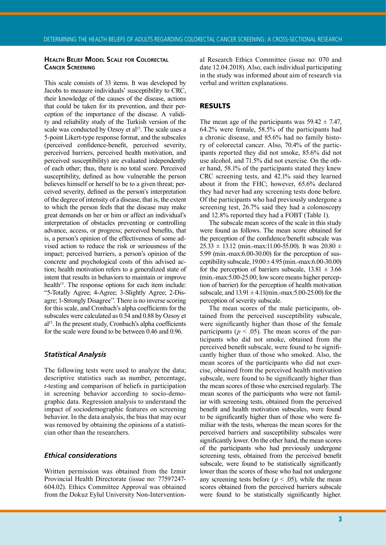#### **Health Belief Model Scale for Colorectal Cancer Screening**

This scale consists of 33 items. It was developed by Jacobs to measure individuals' susceptibility to CRC, their knowledge of the causes of the disease, actions that could be taken for its prevention, and their perception of the importance of the disease. A validity and reliability study of the Turkish version of the scale was conducted by Ozsoy et al<sup>15</sup>. The scale uses a 5-point Likert-type response format, and the subscales (perceived confidence-benefit, perceived severity, perceived barriers, perceived health motivation, and perceived susceptibility) are evaluated independently of each other; thus, there is no total score. Perceived susceptibility, defined as how vulnerable the person believes himself or herself to be to a given threat; perceived severity, defined as the person's interpretation of the degree of intensity of a disease, that is, the extent to which the person feels that the disease may make great demands on her or him or affect an individual's interpretation of obstacles preventing or controlling advance, access, or progress; perceived benefits, that is, a person's opinion of the effectiveness of some advised action to reduce the risk or seriousness of the impact; perceived barriers, a person's opinion of the concrete and psychological costs of this advised action; health motivation refers to a generalized state of intent that results in behaviors to maintain or improve health<sup>15</sup>. The response options for each item include: "5-Totally Agree; 4-Agree; 3-Slightly Agree; 2-Disagre; 1-Strongly Disagree''. There is no inverse scoring for this scale, and Cronbach's alpha coefficients for the subscales were calculated as 0.54 and 0.88 by Ozsoy et  $al<sup>15</sup>$ . In the present study, Cronbach's alpha coefficients for the scale were found to be between 0.46 and 0.96.

### *Statistical Analysis*

The following tests were used to analyze the data; descriptive statistics such as number, percentage, *t*-testing and comparison of beliefs in participation in screening behavior according to socio-demographic data. Regression analysis to understand the impact of sociodemographic features on screening behavior. In the data analysis, the bias that may ocur was removed by obtaining the opinions of a statistician other than the researchers.

#### *Ethical considerations*

Written permission was obtained from the Izmir Provincial Health Directorate (issue no: 77597247- 604.02). Ethics Committee Approval was obtained from the Dokuz Eylul University Non-Interventional Research Ethics Committee (issue no: 070 and date 12.04.2018). Also, each individual participating in the study was informed about aim of research via verbal and written explanations.

#### RESULTS

The mean age of the participants was  $59.42 \pm 7.47$ , 64.2% were female, 58.5% of the participants had a chronic disease, and 85.6% had no family history of colorectal cancer. Also, 70.4% of the participants reported they did not smoke, 85.6% did not use alcohol, and 71.5% did not exercise. On the other hand, 58.1% of the participants stated they knew CRC screening tests, and 42.1% said they learned about it from the FHC; however, 65.6% declared they had never had any screening tests done before. Of the participants who had previously undergone a screening test, 26.7% said they had a colonoscopy and 12.8% reported they had a FOBT (Table 1).

The subscale mean scores of the scale in this study were found as follows. The mean score obtained for the perception of the confidence/benefit subscale was  $25.33 \pm 13.12$  (min.-max:11.00-55.00). It was  $20.80 \pm 13.12$ 5.99 (min.-max:6.00-30.00) for the perception of susceptibility subscale,  $19.00 \pm 4.95$  (min.-max: $6.00 \text{-} 30.00$ ) for the perception of barriers subscale,  $13.81 \pm 3.66$ (min.-max:5.00-25.00; low score means higher perception of barrier) for the perception of health motivation subscale, and  $13.91 \pm 4.11$ (min.-max: 5.00-25.00) for the perception of severity subscale.

The mean scores of the male participants, obtained from the perceived susceptibility subscale, were significantly higher than those of the female participants ( $p < .05$ ). The mean scores of the participants who did not smoke, obtained from the perceived benefit subscale, were found to be significantly higher than of those who smoked. Also, the mean scores of the participants who did not exercise, obtained from the perceived health motivation subscale, were found to be significantly higher than the mean scores of those who exercised regularly. The mean scores of the participants who were not familiar with screening tests, obtained from the perceived benefit and health motivation subscales, were found to be significantly higher than of those who were familiar with the tests, whereas the mean scores for the perceived barriers and susceptibility subscales were significantly lower. On the other hand, the mean scores of the participants who had previously undergone screening tests, obtained from the perceived benefit subscale, were found to be statistically significantly lower than the scores of those who had not undergone any screening tests before ( $p < .05$ ), while the mean scores obtained from the perceived barriers subscale were found to be statistically significantly higher.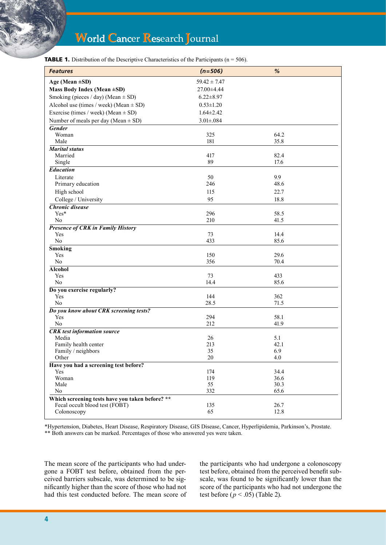| <b>TABLE 1.</b> Distribution of the Descriptive Characteristics of the Participants ( $n = 506$ ). |  |  |  |  |  |  |
|----------------------------------------------------------------------------------------------------|--|--|--|--|--|--|
|----------------------------------------------------------------------------------------------------|--|--|--|--|--|--|

| <b>Features</b>                                 | $(n=506)$        | $\%$         |  |
|-------------------------------------------------|------------------|--------------|--|
| Age (Mean $\pm SD$ )                            | $59.42 \pm 7.47$ |              |  |
| Mass Body Index (Mean ±SD)                      | 27.00±4.44       |              |  |
| Smoking (pieces / day) (Mean $\pm$ SD)          | $6.22 \pm 8.97$  |              |  |
| Alcohol use (times / week) (Mean $\pm$ SD)      | $0.53 \pm 1.20$  |              |  |
| Exercise (times / week) (Mean $\pm$ SD)         | $1.64 \pm 2.42$  |              |  |
| Number of meals per day (Mean $\pm$ SD)         | $3.01 \pm .084$  |              |  |
| Gender                                          |                  |              |  |
| Woman                                           | 325              | 64.2         |  |
| Male                                            | 181              | 35.8         |  |
| <b>Marital status</b>                           |                  |              |  |
| Married                                         | 417              | 82.4         |  |
| Single                                          | 89               | 17.6         |  |
| <b>Education</b>                                |                  |              |  |
| Literate                                        | 50               | 9.9          |  |
| Primary education                               | 246              | 48.6         |  |
| High school                                     | 115              | 22.7         |  |
| College / University                            | 95               | 18.8         |  |
| <b>Chronic disease</b>                          |                  |              |  |
| Yes*                                            | 296              | 58.5         |  |
| N <sub>0</sub>                                  | 210              | 41.5         |  |
| <b>Presence of CRK in Family History</b>        |                  |              |  |
| Yes                                             | 73               | 14.4         |  |
| No                                              | 433              | 85.6         |  |
| <b>Smoking</b>                                  |                  |              |  |
| Yes                                             | 150              | 29.6         |  |
| $\rm No$                                        | 356              | 70.4         |  |
| <b>Alcohol</b>                                  |                  |              |  |
| Yes                                             | 73               | 433          |  |
| No                                              | 14.4             | 85.6         |  |
| Do you exercise regularly?                      |                  |              |  |
| Yes                                             | 144              | 362          |  |
| No                                              | 28.5             | 71.5         |  |
| Do you know about CRK screening tests?          |                  |              |  |
| Yes<br>No                                       | 294<br>212       | 58.1<br>41.9 |  |
|                                                 |                  |              |  |
| <b>CRK</b> test information source<br>Media     | 26               | 5.1          |  |
| Family health center                            | 213              | 42.1         |  |
| Family / neighbors                              | 35               | 6.9          |  |
| Other                                           | 20               | 4.0          |  |
| Have you had a screening test before?           |                  |              |  |
| Yes                                             | 174              | 34.4         |  |
| Woman                                           | 119              | 36.6         |  |
| Male                                            | 55               | 30.3         |  |
| No                                              | 332              | 65.6         |  |
| Which screening tests have you taken before? ** |                  |              |  |
| Fecal occult blood test (FOBT)                  | 135              | 26.7         |  |
| Colonoscopy                                     | 65               | 12.8         |  |

\*Hypertension, Diabetes, Heart Disease, Respiratory Disease, GIS Disease, Cancer, Hyperlipidemia, Parkinson's, Prostate. \*\* Both answers can be marked. Percentages of those who answered yes were taken.

The mean score of the participants who had undergone a FOBT test before, obtained from the perceived barriers subscale, was determined to be significantly higher than the score of those who had not had this test conducted before. The mean score of the participants who had undergone a colonoscopy test before, obtained from the perceived benefit subscale, was found to be significantly lower than the score of the participants who had not undergone the test before  $(p < .05)$  (Table 2).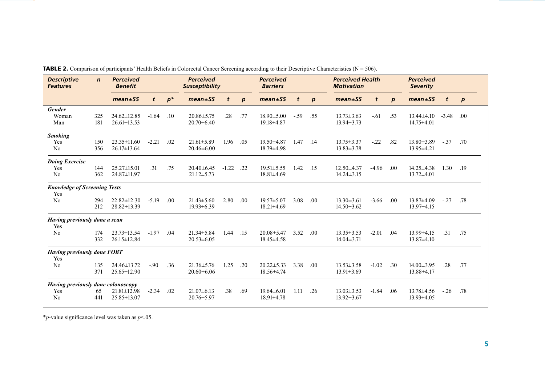| <b>Descriptive</b><br><b>Features</b>      | $\mathbf n$ | <b>Perceived</b><br><b>Benefit</b> |         |       | <b>Perceived</b><br><b>Susceptibility</b> |         |                  | <b>Perceived</b><br><b>Barriers</b> |        |                  | <b>Perceived Health</b><br><b>Motivation</b> |         |                  | <b>Perceived</b><br><b>Severity</b> |         |                  |
|--------------------------------------------|-------------|------------------------------------|---------|-------|-------------------------------------------|---------|------------------|-------------------------------------|--------|------------------|----------------------------------------------|---------|------------------|-------------------------------------|---------|------------------|
|                                            |             | $mean \pm SS$                      | t       | $p^*$ | $mean \pm SS$                             | t       | $\boldsymbol{p}$ | $mean \pm SS$                       | t      | $\boldsymbol{p}$ | $mean \pm SS$                                | t       | $\boldsymbol{p}$ | $mean \pm SS$                       | t       | $\boldsymbol{p}$ |
| <b>Gender</b>                              |             |                                    |         |       |                                           |         |                  |                                     |        |                  |                                              |         |                  |                                     |         |                  |
| Woman                                      | 325         | $24.62 \pm 12.85$                  | $-1.64$ | .10   | $20.86 \pm 5.75$                          | .28     | .77              | $18.90 \pm 5.00$                    | $-.59$ | .55              | $13.73 \pm 3.63$                             | $-.61$  | .53              | $13.44\pm4.10$                      | $-3.48$ | .00              |
| Man                                        | 181         | $26.61 \pm 13.53$                  |         |       | $20.70 \pm 6.40$                          |         |                  | 19.18±4.87                          |        |                  | $13.94 \pm 3.73$                             |         |                  | $14.75 \pm 4.01$                    |         |                  |
| <b>Smoking</b>                             |             |                                    |         |       |                                           |         |                  |                                     |        |                  |                                              |         |                  |                                     |         |                  |
| Yes                                        | 150         | $23.35 \pm 11.60$                  | $-2.21$ | .02   | $21.61 \pm 5.89$                          | 1.96    | .05              | $19.50 \pm 4.87$                    | 1.47   | .14              | $13.75 \pm 3.37$                             | $-.22$  | .82              | $13.80 \pm 3.89$                    | $-.37$  | .70              |
| N <sub>0</sub>                             | 356         | $26.17 \pm 13.64$                  |         |       | $20.46\pm 6.00$                           |         |                  | $18.79 \pm 4.98$                    |        |                  | $13.83 \pm 3.78$                             |         |                  | $13.95 \pm 4.21$                    |         |                  |
| <b>Doing Exercise</b>                      |             |                                    |         |       |                                           |         |                  |                                     |        |                  |                                              |         |                  |                                     |         |                  |
| Yes                                        | 144         | $25.27 \pm 15.01$                  | .31     | .75   | $20.40 \pm 6.45$                          | $-1.22$ | .22              | $19.51 \pm 5.55$                    | 1.42   | .15              | $12.50 \pm 4.37$                             | $-4.96$ | .00              | $14.25 \pm 4.38$                    | 1.30    | .19              |
| No                                         | 362         | 24.87±11.97                        |         |       | $21.12 \pm 5.73$                          |         |                  | 18.81±4.69                          |        |                  | $14.24 \pm 3.15$                             |         |                  | $13.72 \pm 4.01$                    |         |                  |
| <b>Knowledge of Screening Tests</b><br>Yes |             |                                    |         |       |                                           |         |                  |                                     |        |                  |                                              |         |                  |                                     |         |                  |
| No                                         | 294         | $22.82 \pm 12.30$                  | $-5.19$ | .00   | $21.43 \pm 5.60$                          | 2.80    | .00.             | $19.57 \pm 5.07$                    | 3.08   | .00              | $13.30 \pm 3.61$                             | $-3.66$ | .00              | 13.87±4.09                          | $-.27$  | .78              |
|                                            | 212         | $28.82 \pm 13.39$                  |         |       | 19.93±6.39                                |         |                  | $18.21 \pm 4.69$                    |        |                  | $14.50 \pm 3.62$                             |         |                  | $13.97 \pm 4.15$                    |         |                  |
| Having previously done a scan<br>Yes       |             |                                    |         |       |                                           |         |                  |                                     |        |                  |                                              |         |                  |                                     |         |                  |
| N <sub>0</sub>                             | 174         | $23.73 \pm 13.54$                  | $-1.97$ | .04   | $21.34 \pm 5.84$                          | 1.44    | .15              | $20.08 \pm 5.47$                    | 3.52   | .00              | $13.35 \pm 3.53$                             | $-2.01$ | .04              | $13.99 \pm 4.15$                    | .31     | .75              |
|                                            | 332         | 26.15±12.84                        |         |       | $20.53 \pm 6.05$                          |         |                  | $18.45 \pm 4.58$                    |        |                  | $14.04 \pm 3.71$                             |         |                  | $13.87 \pm 4.10$                    |         |                  |
| <b>Having previously done FOBT</b><br>Yes  |             |                                    |         |       |                                           |         |                  |                                     |        |                  |                                              |         |                  |                                     |         |                  |
| No                                         | 135         | 24.46±13.72                        | $-90$   | .36   | $21.36 \pm 5.76$                          | 1.25    | .20              | $20.22 \pm 5.33$                    | 3.38   | .00              | $13.53 \pm 3.58$                             | $-1.02$ | $\overline{.30}$ | 14.00±3.95                          | .28     | .77              |
|                                            | 371         | $25.65 \pm 12.90$                  |         |       | $20.60\pm 6.06$                           |         |                  | $18.56 \pm 4.74$                    |        |                  | $13.91 \pm 3.69$                             |         |                  | $13.88\pm4.17$                      |         |                  |
| Having previously done colonoscopy         |             |                                    |         |       |                                           |         |                  |                                     |        |                  |                                              |         |                  |                                     |         |                  |
| Yes                                        | 65          | $21.81 \pm 12.98$                  | $-2.34$ | .02   | $21.07\pm 6.13$                           | .38     | .69              | $19.64\pm 6.01$                     | 1.11   | .26              | $13.03 \pm 3.53$                             | $-1.84$ | .06              | $13.78\pm4.56$                      | $-.26$  | .78              |
| N <sub>0</sub>                             | 441         | $25.85 \pm 13.07$                  |         |       | $20.76 \pm 5.97$                          |         |                  | $18.91 \pm 4.78$                    |        |                  | $13.92 \pm 3.67$                             |         |                  | $13.93 \pm 4.05$                    |         |                  |

**TABLE 2.** Comparison of participants' Health Beliefs in Colorectal Cancer Screening according to their Descriptive Characteristics ( $N = 506$ ).

\**p*-value significance level was taken as *p*<.05.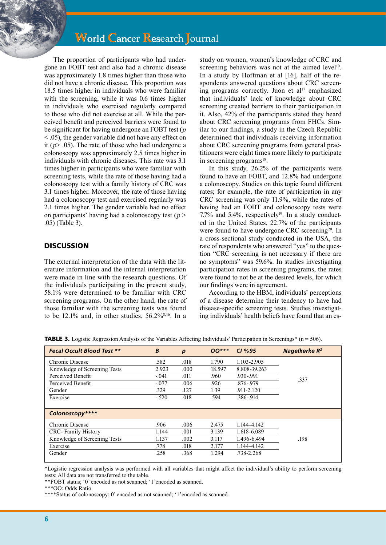# **World Cancer Research Journal**

The proportion of participants who had undergone an FOBT test and also had a chronic disease was approximately 1.8 times higher than those who did not have a chronic disease. This proportion was 18.5 times higher in individuals who were familiar with the screening, while it was 0.6 times higher in individuals who exercised regularly compared to those who did not exercise at all. While the perceived benefit and perceived barriers were found to be significant for having undergone an FOBT test (*p* < .05), the gender variable did not have any effect on it ( $p$   $>$  .05). The rate of those who had undergone a colonoscopy was approximately 2.5 times higher in individuals with chronic diseases. This rate was 3.1 times higher in participants who were familiar with screening tests, while the rate of those having had a colonoscopy test with a family history of CRC was 3.1 times higher. Moreover, the rate of those having had a colonoscopy test and exercised regularly was 2.1 times higher. The gender variable had no effect on participants' having had a colonoscopy test ( $p$  > .05) (Table 3).

# **DISCUSSION**

The external interpretation of the data with the literature information and the internal interpretation were made in line with the research questions. Of the individuals participating in the present study, 58.1% were determined to be familiar with CRC screening programs. On the other hand, the rate of those familiar with the screening tests was found to be 12.1% and, in other studies,  $56.2\%^{8,16}$ . In a study on women, women's knowledge of CRC and screening behaviors was not at the aimed level<sup>10</sup>. In a study by Hoffman et al [16], half of the respondents answered questions about CRC screening programs correctly. Juon et al<sup>17</sup> emphasized that individuals' lack of knowledge about CRC screening created barriers to their participation in it. Also, 42% of the participants stated they heard about CRC screening programs from FHCs. Similar to our findings, a study in the Czech Republic determined that individuals receiving information about CRC screening programs from general practitioners were eight times more likely to participate in screening programs<sup>18</sup>.

In this study, 26.2% of the participants were found to have an FOBT, and 12.8% had undergone a colonoscopy. Studies on this topic found different rates; for example, the rate of participation in any CRC screening was only 11.9%, while the rates of having had an FOBT and colonoscopy tests were 7.7% and  $5.4\%$ , respectively $19$ . In a study conducted in the United States, 22.7% of the participants were found to have undergone CRC screening<sup>20</sup>. In a cross-sectional study conducted in the USA, the rate of respondents who answered "yes" to the question "CRC screening is not necessary if there are no symptoms" was 59.6%. In studies investigating participation rates in screening programs, the rates were found to not be at the desired levels, for which our findings were in agreement.

According to the HBM, individuals' perceptions of a disease determine their tendency to have had disease-specific screening tests. Studies investigating individuals' health beliefs have found that an es-

| <b>Fecal Occult Blood Test **</b> | B       | $\boldsymbol{p}$ | $00***$ | CI%95          | <b>Nagelkerke R<sup>2</sup></b> |
|-----------------------------------|---------|------------------|---------|----------------|---------------------------------|
| Chronic Disease                   | .582    | .018             | 1.790   | 1.103-2.905    |                                 |
| Knowledge of Screening Tests      | 2.923   | .000             | 18.597  | 8.808-39.263   |                                 |
| Perceived Benefit                 | $-.041$ | .011             | .960    | .930-.991      | .337                            |
| Perceived Benefit                 | $-.077$ | .006             | .926    | .876-.979      |                                 |
| Gender                            | .329    | .127             | 1.39    | $.911 - 2.120$ |                                 |
| Exercise                          | $-.520$ | .018             | .594    | .386-.914      |                                 |
|                                   |         |                  |         |                |                                 |
| Colonoscopy****                   |         |                  |         |                |                                 |
| Chronic Disease                   | .906    | .006             | 2.475   | 1.144-4.142    |                                 |
| <b>CRC</b> -Family History        | 1.144   | .001             | 3.139   | 1.618-6.089    |                                 |
| Knowledge of Screening Tests      | 1.137   | .002             | 3.117   | 1.496-6.494    | .198                            |
| Exercise                          | .778    | .018             | 2.177   | 1.144-4.142    |                                 |
| Gender                            | .258    | .368             | 1.294   | .738-2.268     |                                 |
|                                   |         |                  |         |                |                                 |

TABLE 3. Logistic Regression Analysis of the Variables Affecting Individuals' Participation in Screenings\* (n = 506).

\*Logistic regression analysis was performed with all variables that might affect the individual's ability to perform screening tests; All data are not transferred to the table.

\*\*FOBT status; '0' encoded as not scanned; '1'encoded as scanned.

\*\*\*\*Status of colonoscopy; 0' encoded as not scanned; '1'encoded as scanned.

<sup>\*\*\*</sup>OO: Odds Ratio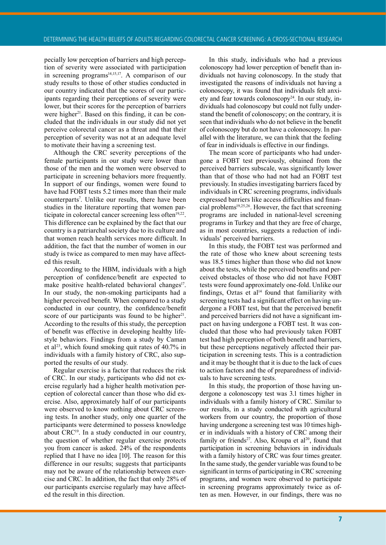pecially low perception of barriers and high perception of severity were associated with participation in screening programs $14,15,17$ . A comparison of our study results to those of other studies conducted in our country indicated that the scores of our participants regarding their perceptions of severity were lower, but their scores for the perception of barriers were higher<sup>21</sup>. Based on this finding, it can be concluded that the individuals in our study did not yet perceive colorectal cancer as a threat and that their perception of severity was not at an adequate level to motivate their having a screening test.

Although the CRC severity perceptions of the female participants in our study were lower than those of the men and the women were observed to participate in screening behaviors more frequently. In support of our findings, women were found to have had FOBT tests 5.2 times more than their male counterparts7 . Unlike our results, there have been studies in the literature reporting that women participate in colorectal cancer screening less often<sup>19,22</sup>. This difference can be explained by the fact that our country is a patriarchal society due to its culture and that women reach health services more difficult. In addition, the fact that the number of women in our study is twice as compared to men may have affected this result.

According to the HBM, individuals with a high perception of confidence/benefit are expected to make positive health-related behavioral changes<sup>17</sup>. In our study, the non-smoking participants had a higher perceived benefit. When compared to a study conducted in our country, the confidence/benefit score of our participants was found to be higher<sup>21</sup>. According to the results of this study, the perception of benefit was effective in developing healthy lifestyle behaviors. Findings from a study by Caman et al<sup>23</sup>, which found smoking quit rates of 40.7% in individuals with a family history of CRC, also supported the results of our study.

Regular exercise is a factor that reduces the risk of CRC. In our study, participants who did not exercise regularly had a higher health motivation perception of colorectal cancer than those who did exercise. Also, approximately half of our participants were observed to know nothing about CRC screening tests. In another study, only one quarter of the participants were determined to possess knowledge about CRC<sup>19</sup>. In a study conducted in our country, the question of whether regular exercise protects you from cancer is asked. 24% of the respondents replied that I have no idea [10]. The reason for this difference in our results; suggests that participants may not be aware of the relationship between exercise and CRC. In addition, the fact that only 28% of our participants exercise regularly may have affected the result in this direction.

In this study, individuals who had a previous colonoscopy had lower perception of benefit than individuals not having colonoscopy. In the study that investigated the reasons of individuals not having a colonoscopy, it was found that individuals felt anxiety and fear towards colonoscopy<sup>24</sup>. In our study, individuals had colonoscopy but could not fully understand the benefit of colonoscopy; on the contrary, it is seen that individuals who do not believe in the benefit of colonoscopy but do not have a colonoscopy. In parallel with the literature, we can think that the feeling of fear in individuals is effective in our findings.

The mean score of participants who had undergone a FOBT test previously, obtained from the perceived barriers subscale, was significantly lower than that of those who had not had an FOBT test previously. In studies investigating barriers faced by individuals in CRC screening programs, individuals expressed barriers like access difficulties and financial problems<sup>19,25,26</sup>. However, the fact that screening programs are included in national-level screening programs in Turkey and that they are free of charge, as in most countries, suggests a reduction of individuals' perceived barriers.

In this study, the FOBT test was performed and the rate of those who knew about screening tests was 18.5 times higher than those who did not know about the tests, while the perceived benefits and perceived obstacles of those who did not have FOBT tests were found approximately one-fold. Unlike our findings, Oztas et al $14$  found that familiarity with screening tests had a significant effect on having undergone a FOBT test, but that the perceived benefit and perceived barriers did not have a significant impact on having undergone a FOBT test. It was concluded that those who had previously taken FOBT test had high perception of both benefit and barriers, but these perceptions negatively affected their participation in screening tests. This is a contradiction and it may be thought that it is due to the lack of cues to action factors and the of preparedness of individuals to have screening tests.

In this study, the proportion of those having undergone a colonoscopy test was 3.1 times higher in individuals with a family history of CRC. Similar to our results, in a study conducted with agricultural workers from our country, the proportion of those having undergone a screening test was 10 times higher in individuals with a history of CRC among their family or friends<sup>27</sup>. Also, Kroupa et al<sup>20</sup>, found that participation in screening behaviors in individuals with a family history of CRC was four times greater. In the same study, the gender variable was found to be significant in terms of participating in CRC screening programs, and women were observed to participate in screening programs approximately twice as often as men. However, in our findings, there was no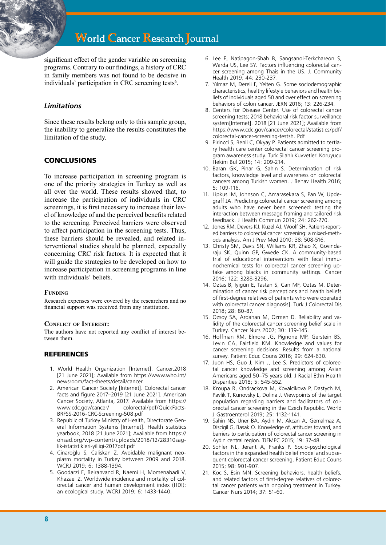significant effect of the gender variable on screening programs. Contrary to our findings, a history of CRC in family members was not found to be decisive in individuals' participation in CRC screening tests<sup>6</sup>.

# *Limitations*

Since these results belong only to this sample group, the inability to generalize the results constitutes the limitation of the study.

# **CONCLUSIONS**

To increase participation in screening program is one of the priority strategies in Turkey as well as all over the world. These results showed that, to increase the participation of individuals in CRC screenings, it is first necessary to increase their level of knowledge of and the perceived benefits related to the screening. Perceived barriers were observed to affect participation in the screening tests. Thus, these barriers should be revealed, and related interventional studies should be planned, especially concerning CRC risk factors. It is expected that it will guide the strategies to be developed on how to increase participation in screening programs in line with individuals' beliefs.

#### **Funding**

Research expenses were covered by the researchers and no financial support was received from any institution.

#### **Conflict of Interest:**

The authors have not reported any conflict of interest between them.

### **REFERENCES**

- 1. World Health Organization [Internet]. Cancer,2018 [21 June 2021]; Available from https://www.who.int/ newsroom/fact-sheets/detail/cancer.
- 2. American Cancer Society [Internet]. Colorectal cancer facts and figure 2017–2019 [21 June 2021]. American Cancer Society, Atlanta, 2017. Available from https:// www.cdc.gov/cancer/ colorectal/pdf/QuickFacts-BRFSS-2016-CRC-Screening-508.pdf
- 3. Republic of Turkey Ministry of Health, Directorate General Information Systems [Internet]. Health statistics yearbook, 2018 [21 June 2021]; Available from https:// ohsad.org/wp-content/uploads/2018/12/28310saglik-istatistikleri-yilligi-2017pdf.pdf
- 4. Cinaroğlu S, Caliskan Z. Avoidable malignant neoplasm mortality in Turkey between 2009 and 2018. WCRJ 2019; 6: 1388-1394.
- 5. Goodarzi E, Beiranvand R, Naemi H, Momenabadi V, Khazaei Z. Worldwide incidence and mortality of colorectal cancer and human development index (HDI): an ecological study. WCRJ 2019; 6: 1433-1440.
- 6. Lee E, Natipagon-Shah B, Sangsanoi-Terkchareon S, Warda US, Lee SY. Factors influencing colorectal cancer screening among Thais in the US. J. Community Health 2019; 44: 230-237.
- 7. Yılmaz M, Dereli F, Yelten G. Some sociodemographic characteristics, healthy lifestyle behaviors and health beliefs of individuals aged 50 and over effect on screening behaviors of colon cancer. JERN 2016; 13: 226-234.
- 8. Centers for Disease Center. Use of colorectal cancer screening tests; 2018 behavioral risk factor surveillance system[Internet]. 2018 [21 June 2021]; Available from https://www.cdc.gov/cancer/colorectal/statistics/pdf/ colorectal-cancer-screening-testsh. Pdf
- 9. Pirincci S, Benli C, Okyay P. Patients admitted to tertiary health care center colorectal cancer screening program awareness study. Turk Silahlı Kuvvetleri Koruyucu Hekim Bul 2015; 14: 209-214.
- 10. Baran GK, Pinar G, Sahin S. Determination of risk factors, knowledge level and awareness on colorectal cancers among Turkish women. J Behav Health 2016; 5: 109-116.
- 11. Lipkus IM, Johnson C, Amarasekara S, Pan W, Updegraff JA. Predicting colorectal cancer screening among adults who have never been screened: testing the interaction between message framing and tailored risk feedback. J Health Commun 2019; 24: 262-270.
- 12. Jones RM, Devers KJ, Kuzel AJ, Woolf SH. Patient-reported barriers to colorectal cancer screening: a mixed-methods analysis. Am J Prev Med 2010; 38: 508-516.
- 13. Christy SM, Davis SN, Williams KR, Zhao X, Govindaraju SK, Quinn GP, Gwede CK. A community‐based trial of educational interventions with fecal immunochemical tests for colorectal cancer screening uptake among blacks in community settings. Cancer 2016; 122: 3288-3296.
- 14. Oztas B, Iyigün E, Tastan S, Can MF, Oztas M. Determination of cancer risk perceptions and health beliefs of first-degree relatives of patients who were operated with colorectal cancer diagnosis]. Turk J Colorectal Dis 2018; 28: 80-87.
- 15. Ozsoy SA, Ardahan M, Ozmen D. Reliability and validity of the colorectal cancer screening belief scale in Turkey. Cancer Nurs 2007; 30: 139-145.
- 16. Hoffman RM, Elmore JG, Pignone MP, Gerstein BS, Levin CA, Fairfield KM. Knowledge and values for cancer screening decisions: Results from a national survey. Patient Educ Couns 2016; 99: 624-630.
- 17. Juon HS, Guo J, Kim J, Lee S. Predictors of colorectal cancer knowledge and screening among Asian Americans aged 50–75 years old. J Racial Ethn Health Disparities 2018; 5: 545-552.
- 18. Kroupa R, Ondrackova M, Kovalcikova P, Dastych M, Pavlik T, Kunovsky L, Dolina J. Viewpoints of the target population regarding barriers and facilitators of colorectal cancer screening in the Czech Republic. World J Gastroenterol 2019; 25: 1132-1141.
- 19. Sahin NS, Uner BA, Aydin M, Akcan A, Gemalmaz A, Discigil G, Basak O. Knowledge of, attitudes toward, and barriers to participation of colorectal cancer screening in Aydın central region. TJFMPC 2015; 19: 37-48.
- 20. Sohler NL, Jerant A, Franks P. Socio-psychological factors in the expanded health belief model and subsequent colorectal cancer screening. Patient Educ Couns 2015; 98: 901-907.
- 21. Koc S, Esin MN. Screening behaviors, health beliefs, and related factors of first-degree relatives of colorectal cancer patients with ongoing treatment in Turkey. Cancer Nurs 2014; 37: 51-60.